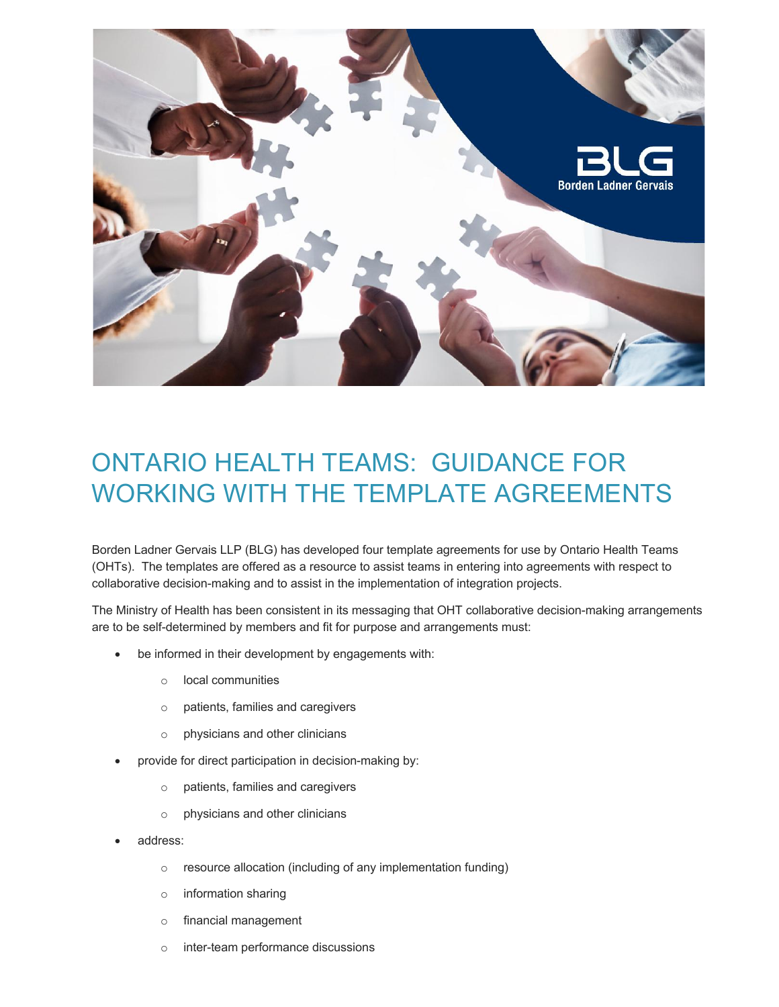

## ONTARIO HEALTH TEAMS: GUIDANCE FOR WORKING WITH THE TEMPLATE AGREEMENTS

Borden Ladner Gervais LLP (BLG) has developed four template agreements for use by Ontario Health Teams (OHTs). The templates are offered as a resource to assist teams in entering into agreements with respect to collaborative decision-making and to assist in the implementation of integration projects.

The Ministry of Health has been consistent in its messaging that OHT collaborative decision-making arrangements are to be self-determined by members and fit for purpose and arrangements must:

- be informed in their development by engagements with:
	- o local communities
	- o patients, families and caregivers
	- o physicians and other clinicians
- provide for direct participation in decision-making by:
	- o patients, families and caregivers
	- o physicians and other clinicians
- address:
	- o resource allocation (including of any implementation funding)
	- o information sharing
	- o financial management
	- o inter-team performance discussions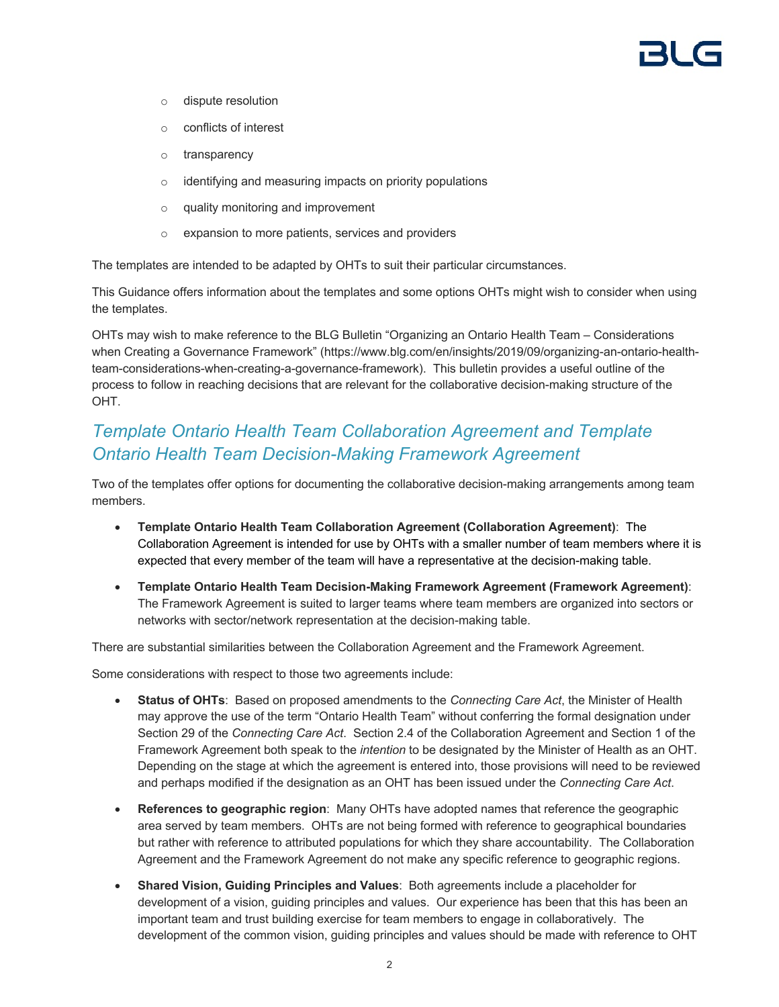- o dispute resolution
- o conflicts of interest
- o transparency
- o identifying and measuring impacts on priority populations
- o quality monitoring and improvement
- o expansion to more patients, services and providers

The templates are intended to be adapted by OHTs to suit their particular circumstances.

This Guidance offers information about the templates and some options OHTs might wish to consider when using the templates.

OHTs may wish to make reference to the BLG Bulletin "Organizing an Ontario Health Team – Considerations when Creating a Governance Framework" (https://www.blg.com/en/insights/2019/09/organizing-an-ontario-healthteam-considerations-when-creating-a-governance-framework). This bulletin provides a useful outline of the process to follow in reaching decisions that are relevant for the collaborative decision-making structure of the OHT.

## *Template Ontario Health Team Collaboration Agreement and Template Ontario Health Team Decision-Making Framework Agreement*

Two of the templates offer options for documenting the collaborative decision-making arrangements among team members.

- **Template Ontario Health Team Collaboration Agreement (Collaboration Agreement)**: The Collaboration Agreement is intended for use by OHTs with a smaller number of team members where it is expected that every member of the team will have a representative at the decision-making table.
- **Template Ontario Health Team Decision-Making Framework Agreement (Framework Agreement)**: The Framework Agreement is suited to larger teams where team members are organized into sectors or networks with sector/network representation at the decision-making table.

There are substantial similarities between the Collaboration Agreement and the Framework Agreement.

Some considerations with respect to those two agreements include:

- **Status of OHTs**: Based on proposed amendments to the *Connecting Care Act*, the Minister of Health may approve the use of the term "Ontario Health Team" without conferring the formal designation under Section 29 of the *Connecting Care Act*. Section 2.4 of the Collaboration Agreement and Section 1 of the Framework Agreement both speak to the *intention* to be designated by the Minister of Health as an OHT. Depending on the stage at which the agreement is entered into, those provisions will need to be reviewed and perhaps modified if the designation as an OHT has been issued under the *Connecting Care Act*.
- **References to geographic region**: Many OHTs have adopted names that reference the geographic area served by team members. OHTs are not being formed with reference to geographical boundaries but rather with reference to attributed populations for which they share accountability. The Collaboration Agreement and the Framework Agreement do not make any specific reference to geographic regions.
- **Shared Vision, Guiding Principles and Values**: Both agreements include a placeholder for development of a vision, guiding principles and values. Our experience has been that this has been an important team and trust building exercise for team members to engage in collaboratively. The development of the common vision, guiding principles and values should be made with reference to OHT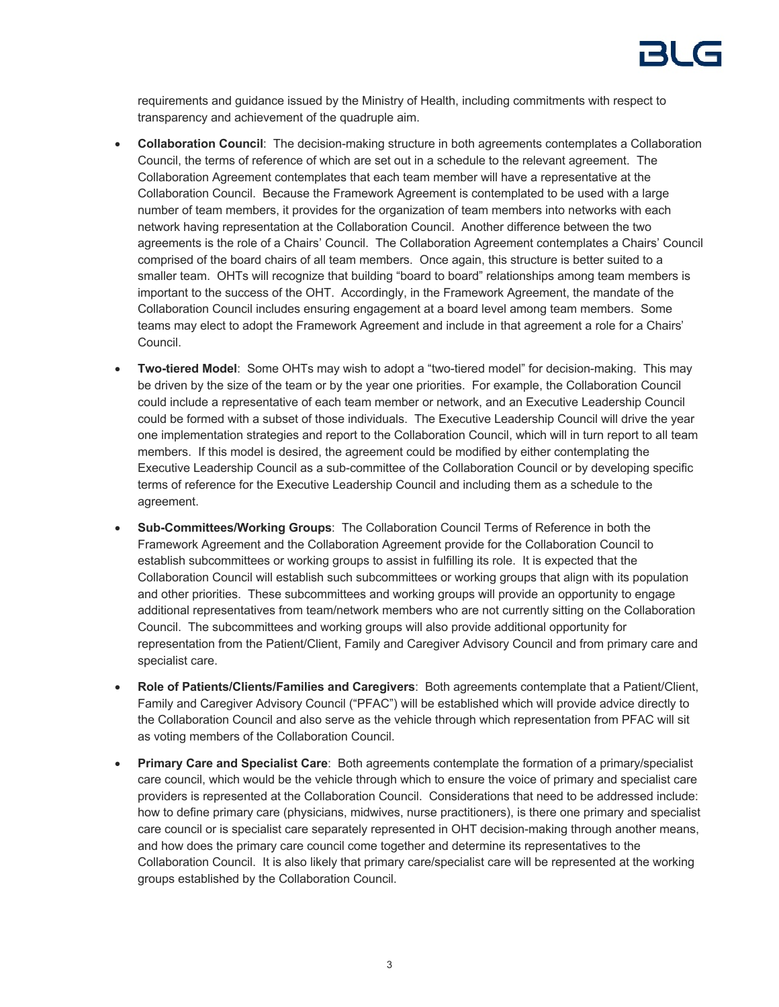requirements and guidance issued by the Ministry of Health, including commitments with respect to transparency and achievement of the quadruple aim.

- **Collaboration Council**: The decision-making structure in both agreements contemplates a Collaboration Council, the terms of reference of which are set out in a schedule to the relevant agreement. The Collaboration Agreement contemplates that each team member will have a representative at the Collaboration Council. Because the Framework Agreement is contemplated to be used with a large number of team members, it provides for the organization of team members into networks with each network having representation at the Collaboration Council. Another difference between the two agreements is the role of a Chairs' Council. The Collaboration Agreement contemplates a Chairs' Council comprised of the board chairs of all team members. Once again, this structure is better suited to a smaller team. OHTs will recognize that building "board to board" relationships among team members is important to the success of the OHT. Accordingly, in the Framework Agreement, the mandate of the Collaboration Council includes ensuring engagement at a board level among team members. Some teams may elect to adopt the Framework Agreement and include in that agreement a role for a Chairs' Council.
- **Two-tiered Model**: Some OHTs may wish to adopt a "two-tiered model" for decision-making. This may be driven by the size of the team or by the year one priorities. For example, the Collaboration Council could include a representative of each team member or network, and an Executive Leadership Council could be formed with a subset of those individuals. The Executive Leadership Council will drive the year one implementation strategies and report to the Collaboration Council, which will in turn report to all team members. If this model is desired, the agreement could be modified by either contemplating the Executive Leadership Council as a sub-committee of the Collaboration Council or by developing specific terms of reference for the Executive Leadership Council and including them as a schedule to the agreement.
- **Sub-Committees/Working Groups**: The Collaboration Council Terms of Reference in both the Framework Agreement and the Collaboration Agreement provide for the Collaboration Council to establish subcommittees or working groups to assist in fulfilling its role. It is expected that the Collaboration Council will establish such subcommittees or working groups that align with its population and other priorities. These subcommittees and working groups will provide an opportunity to engage additional representatives from team/network members who are not currently sitting on the Collaboration Council. The subcommittees and working groups will also provide additional opportunity for representation from the Patient/Client, Family and Caregiver Advisory Council and from primary care and specialist care.
- **Role of Patients/Clients/Families and Caregivers**: Both agreements contemplate that a Patient/Client, Family and Caregiver Advisory Council ("PFAC") will be established which will provide advice directly to the Collaboration Council and also serve as the vehicle through which representation from PFAC will sit as voting members of the Collaboration Council.
- **Primary Care and Specialist Care**: Both agreements contemplate the formation of a primary/specialist care council, which would be the vehicle through which to ensure the voice of primary and specialist care providers is represented at the Collaboration Council. Considerations that need to be addressed include: how to define primary care (physicians, midwives, nurse practitioners), is there one primary and specialist care council or is specialist care separately represented in OHT decision-making through another means, and how does the primary care council come together and determine its representatives to the Collaboration Council. It is also likely that primary care/specialist care will be represented at the working groups established by the Collaboration Council.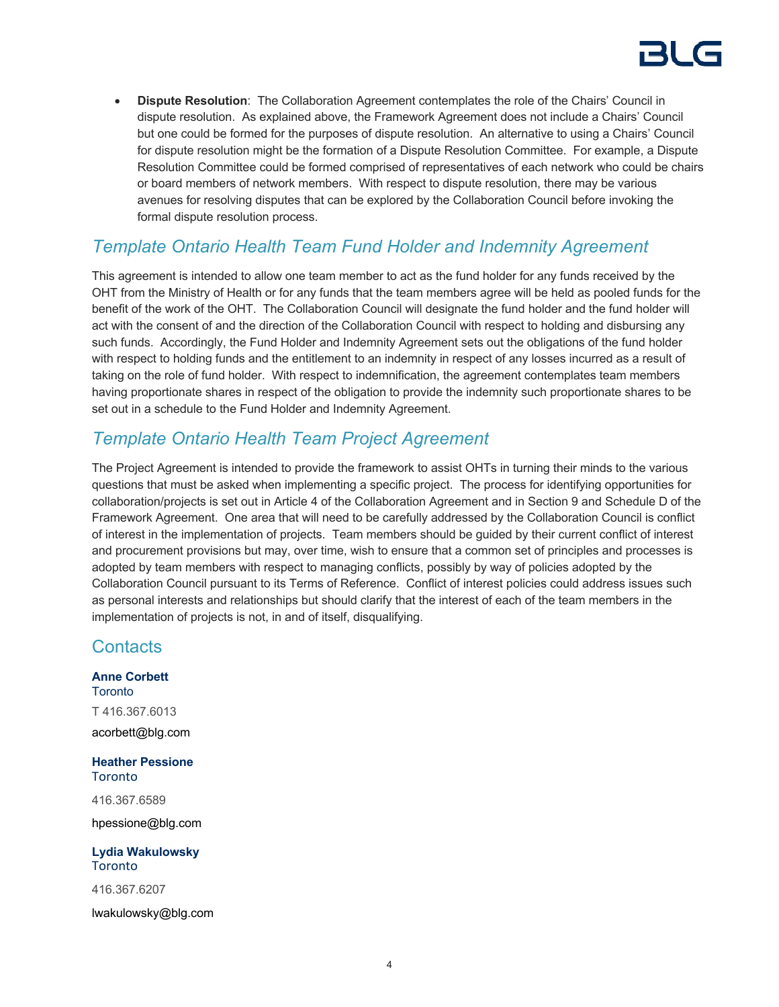# 31 C

• **Dispute Resolution**: The Collaboration Agreement contemplates the role of the Chairs' Council in dispute resolution. As explained above, the Framework Agreement does not include a Chairs' Council but one could be formed for the purposes of dispute resolution. An alternative to using a Chairs' Council for dispute resolution might be the formation of a Dispute Resolution Committee. For example, a Dispute Resolution Committee could be formed comprised of representatives of each network who could be chairs or board members of network members. With respect to dispute resolution, there may be various avenues for resolving disputes that can be explored by the Collaboration Council before invoking the formal dispute resolution process.

## *Template Ontario Health Team Fund Holder and Indemnity Agreement*

This agreement is intended to allow one team member to act as the fund holder for any funds received by the OHT from the Ministry of Health or for any funds that the team members agree will be held as pooled funds for the benefit of the work of the OHT. The Collaboration Council will designate the fund holder and the fund holder will act with the consent of and the direction of the Collaboration Council with respect to holding and disbursing any such funds. Accordingly, the Fund Holder and Indemnity Agreement sets out the obligations of the fund holder with respect to holding funds and the entitlement to an indemnity in respect of any losses incurred as a result of taking on the role of fund holder. With respect to indemnification, the agreement contemplates team members having proportionate shares in respect of the obligation to provide the indemnity such proportionate shares to be set out in a schedule to the Fund Holder and Indemnity Agreement.

## *Template Ontario Health Team Project Agreement*

The Project Agreement is intended to provide the framework to assist OHTs in turning their minds to the various questions that must be asked when implementing a specific project. The process for identifying opportunities for collaboration/projects is set out in Article 4 of the Collaboration Agreement and in Section 9 and Schedule D of the Framework Agreement. One area that will need to be carefully addressed by the Collaboration Council is conflict of interest in the implementation of projects. Team members should be guided by their current conflict of interest and procurement provisions but may, over time, wish to ensure that a common set of principles and processes is adopted by team members with respect to managing conflicts, possibly by way of policies adopted by the Collaboration Council pursuant to its Terms of Reference. Conflict of interest policies could address issues such as personal interests and relationships but should clarify that the interest of each of the team members in the implementation of projects is not, in and of itself, disqualifying.

## **Contacts**

**Anne Corbett Toronto** T 416.367.6013 acorbett@blg.com

**Heather Pessione** Toronto

416.367.6589 hpessione@blg.com

**Lydia Wakulowsky Toronto** 

416.367.6207

lwakulowsky@blg.com